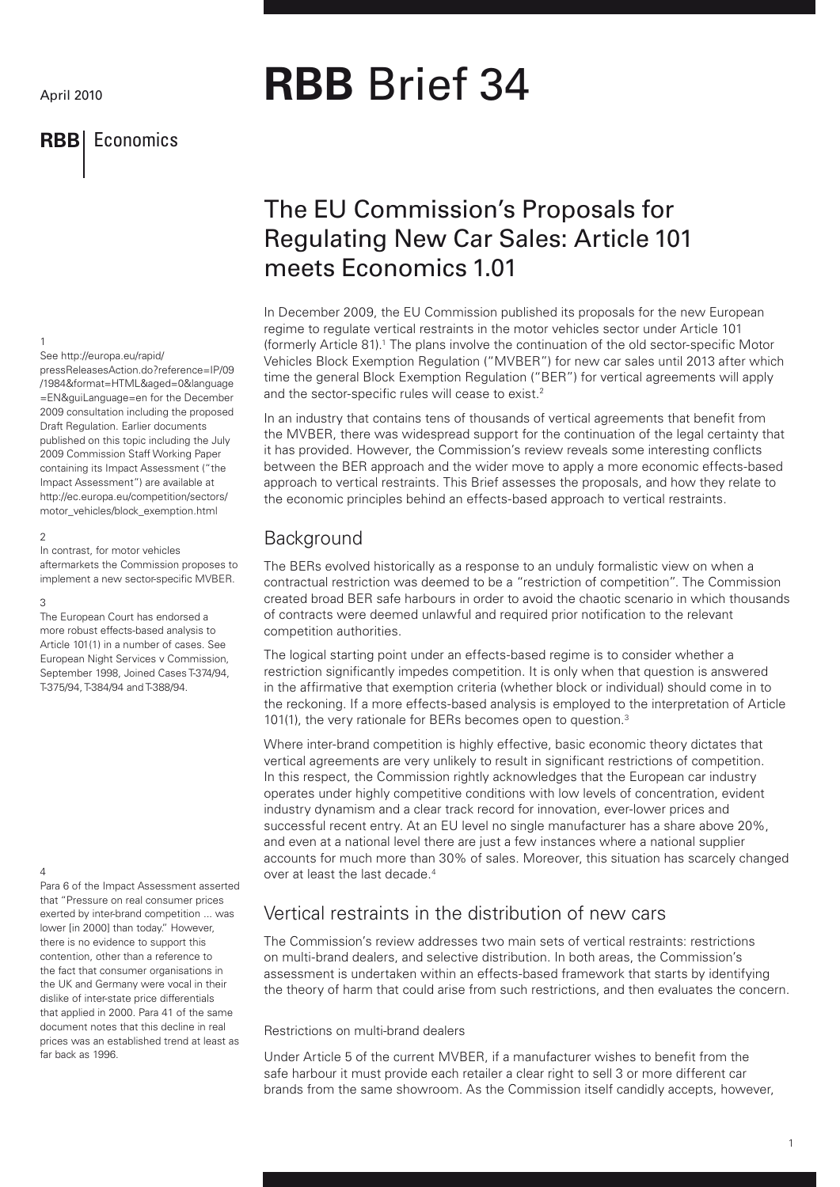## **RBB** Economics

# **RBB** Brief 34

# The EU Commission's Proposals for Regulating New Car Sales: Article 101 meets Economics 1.01

In December 2009, the EU Commission published its proposals for the new European regime to regulate vertical restraints in the motor vehicles sector under Article 101 (formerly Article 81).1 The plans involve the continuation of the old sector-specific Motor Vehicles Block Exemption Regulation ("MVBER") for new car sales until 2013 after which time the general Block Exemption Regulation ("BER") for vertical agreements will apply and the sector-specific rules will cease to exist.<sup>2</sup>

In an industry that contains tens of thousands of vertical agreements that benefit from the MVBER, there was widespread support for the continuation of the legal certainty that it has provided. However, the Commission's review reveals some interesting conflicts between the BER approach and the wider move to apply a more economic effects-based approach to vertical restraints. This Brief assesses the proposals, and how they relate to the economic principles behind an effects-based approach to vertical restraints.

## **Background**

The BERs evolved historically as a response to an unduly formalistic view on when a contractual restriction was deemed to be a "restriction of competition". The Commission created broad BER safe harbours in order to avoid the chaotic scenario in which thousands of contracts were deemed unlawful and required prior notification to the relevant competition authorities.

The logical starting point under an effects-based regime is to consider whether a restriction significantly impedes competition. It is only when that question is answered in the affirmative that exemption criteria (whether block or individual) should come in to the reckoning. If a more effects-based analysis is employed to the interpretation of Article 101(1), the very rationale for BERs becomes open to question.<sup>3</sup>

Where inter-brand competition is highly effective, basic economic theory dictates that vertical agreements are very unlikely to result in significant restrictions of competition. In this respect, the Commission rightly acknowledges that the European car industry operates under highly competitive conditions with low levels of concentration, evident industry dynamism and a clear track record for innovation, ever-lower prices and successful recent entry. At an EU level no single manufacturer has a share above 20%, and even at a national level there are just a few instances where a national supplier accounts for much more than 30% of sales. Moreover, this situation has scarcely changed over at least the last decade.4

## Vertical restraints in the distribution of new cars

The Commission's review addresses two main sets of vertical restraints: restrictions on multi-brand dealers, and selective distribution. In both areas, the Commission's assessment is undertaken within an effects-based framework that starts by identifying the theory of harm that could arise from such restrictions, and then evaluates the concern.

#### Restrictions on multi-brand dealers

Under Article 5 of the current MVBER, if a manufacturer wishes to benefit from the safe harbour it must provide each retailer a clear right to sell 3 or more different car brands from the same showroom. As the Commission itself candidly accepts, however,

#### 1 See http://europa.eu/rapid/

pressReleasesAction.do?reference=IP/09 /1984&format=HTML&aged=0&language =EN&guiLanguage=en for the December 2009 consultation including the proposed Draft Regulation. Earlier documents published on this topic including the July 2009 Commission Staff Working Paper containing its Impact Assessment ("the Impact Assessment") are available at http://ec.europa.eu/competition/sectors/ motor\_vehicles/block\_exemption.html

#### $\overline{2}$

In contrast, for motor vehicles aftermarkets the Commission proposes to implement a new sector-specific MVBER.

#### 3

The European Court has endorsed a more robust effects-based analysis to Article 101(1) in a number of cases. See European Night Services v Commission, September 1998, Joined Cases T-374/94, T-375/94, T-384/94 and T-388/94.

#### $\overline{A}$

Para 6 of the Impact Assessment asserted that "Pressure on real consumer prices exerted by inter-brand competition ... was lower [in 2000] than today." However, there is no evidence to support this contention, other than a reference to the fact that consumer organisations in the UK and Germany were vocal in their dislike of inter-state price differentials that applied in 2000. Para 41 of the same document notes that this decline in real prices was an established trend at least as far back as 1996.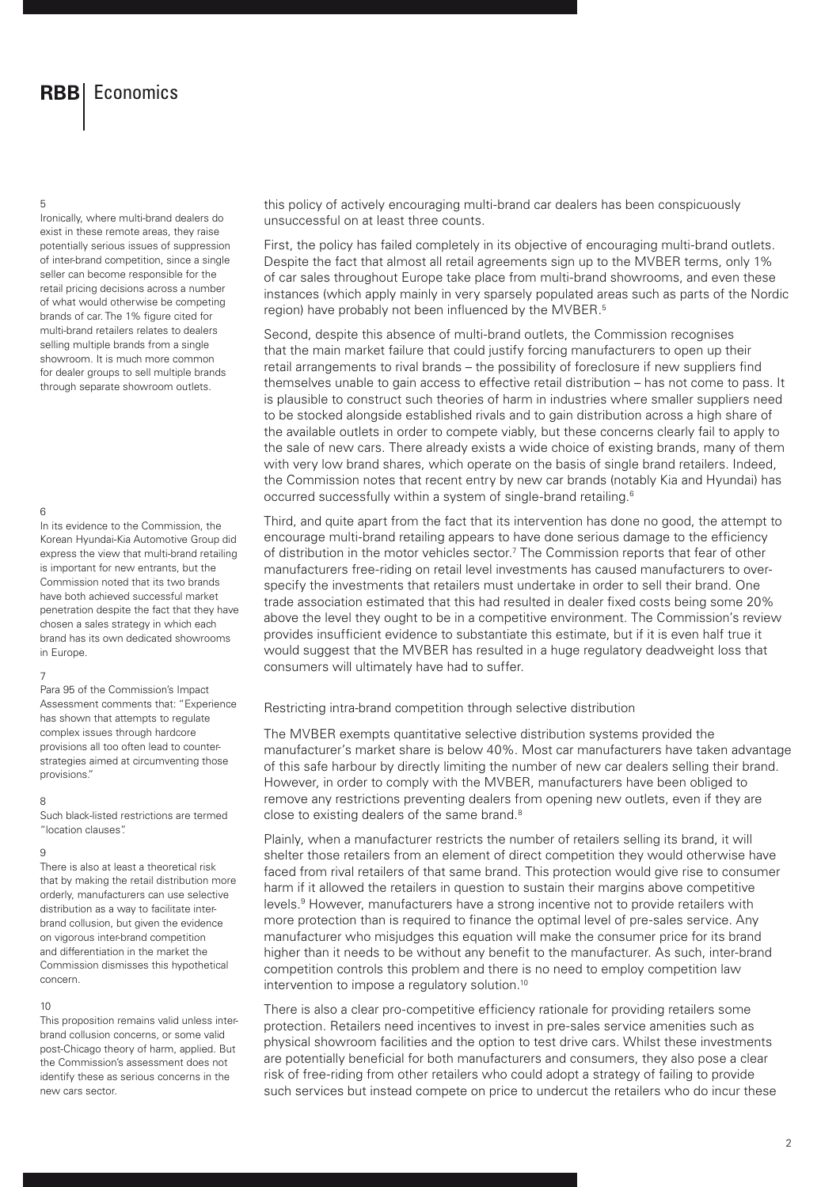## **RBB** Economics

#### 5

Ironically, where multi-brand dealers do exist in these remote areas, they raise potentially serious issues of suppression of inter-brand competition, since a single seller can become responsible for the retail pricing decisions across a number of what would otherwise be competing brands of car. The 1% figure cited for multi-brand retailers relates to dealers selling multiple brands from a single showroom. It is much more common for dealer groups to sell multiple brands through separate showroom outlets.

#### 6

In its evidence to the Commission, the Korean Hyundai-Kia Automotive Group did express the view that multi-brand retailing is important for new entrants, but the Commission noted that its two brands have both achieved successful market penetration despite the fact that they have chosen a sales strategy in which each brand has its own dedicated showrooms in Europe.

#### 7

Para 95 of the Commission's Impact Assessment comments that: "Experience has shown that attempts to regulate complex issues through hardcore provisions all too often lead to counterstrategies aimed at circumventing those provisions."

#### 8

Such black-listed restrictions are termed "location clauses".

#### 9

There is also at least a theoretical risk that by making the retail distribution more orderly, manufacturers can use selective distribution as a way to facilitate interbrand collusion, but given the evidence on vigorous inter-brand competition and differentiation in the market the Commission dismisses this hypothetical concern.

#### 10

This proposition remains valid unless interbrand collusion concerns, or some valid post-Chicago theory of harm, applied. But the Commission's assessment does not identify these as serious concerns in the new cars sector.

this policy of actively encouraging multi-brand car dealers has been conspicuously unsuccessful on at least three counts.

First, the policy has failed completely in its objective of encouraging multi-brand outlets. Despite the fact that almost all retail agreements sign up to the MVBER terms, only 1% of car sales throughout Europe take place from multi-brand showrooms, and even these instances (which apply mainly in very sparsely populated areas such as parts of the Nordic region) have probably not been influenced by the MVBER.<sup>5</sup>

Second, despite this absence of multi-brand outlets, the Commission recognises that the main market failure that could justify forcing manufacturers to open up their retail arrangements to rival brands – the possibility of foreclosure if new suppliers find themselves unable to gain access to effective retail distribution – has not come to pass. It is plausible to construct such theories of harm in industries where smaller suppliers need to be stocked alongside established rivals and to gain distribution across a high share of the available outlets in order to compete viably, but these concerns clearly fail to apply to the sale of new cars. There already exists a wide choice of existing brands, many of them with very low brand shares, which operate on the basis of single brand retailers. Indeed, the Commission notes that recent entry by new car brands (notably Kia and Hyundai) has occurred successfully within a system of single-brand retailing.6

Third, and quite apart from the fact that its intervention has done no good, the attempt to encourage multi-brand retailing appears to have done serious damage to the efficiency of distribution in the motor vehicles sector.<sup>7</sup> The Commission reports that fear of other manufacturers free-riding on retail level investments has caused manufacturers to overspecify the investments that retailers must undertake in order to sell their brand. One trade association estimated that this had resulted in dealer fixed costs being some 20% above the level they ought to be in a competitive environment. The Commission's review provides insufficient evidence to substantiate this estimate, but if it is even half true it would suggest that the MVBER has resulted in a huge regulatory deadweight loss that consumers will ultimately have had to suffer.

Restricting intra-brand competition through selective distribution

The MVBER exempts quantitative selective distribution systems provided the manufacturer's market share is below 40%. Most car manufacturers have taken advantage of this safe harbour by directly limiting the number of new car dealers selling their brand. However, in order to comply with the MVBER, manufacturers have been obliged to remove any restrictions preventing dealers from opening new outlets, even if they are close to existing dealers of the same brand.<sup>8</sup>

Plainly, when a manufacturer restricts the number of retailers selling its brand, it will shelter those retailers from an element of direct competition they would otherwise have faced from rival retailers of that same brand. This protection would give rise to consumer harm if it allowed the retailers in question to sustain their margins above competitive levels.<sup>9</sup> However, manufacturers have a strong incentive not to provide retailers with more protection than is required to finance the optimal level of pre-sales service. Any manufacturer who misjudges this equation will make the consumer price for its brand higher than it needs to be without any benefit to the manufacturer. As such, inter-brand competition controls this problem and there is no need to employ competition law intervention to impose a regulatory solution.10

There is also a clear pro-competitive efficiency rationale for providing retailers some protection. Retailers need incentives to invest in pre-sales service amenities such as physical showroom facilities and the option to test drive cars. Whilst these investments are potentially beneficial for both manufacturers and consumers, they also pose a clear risk of free-riding from other retailers who could adopt a strategy of failing to provide such services but instead compete on price to undercut the retailers who do incur these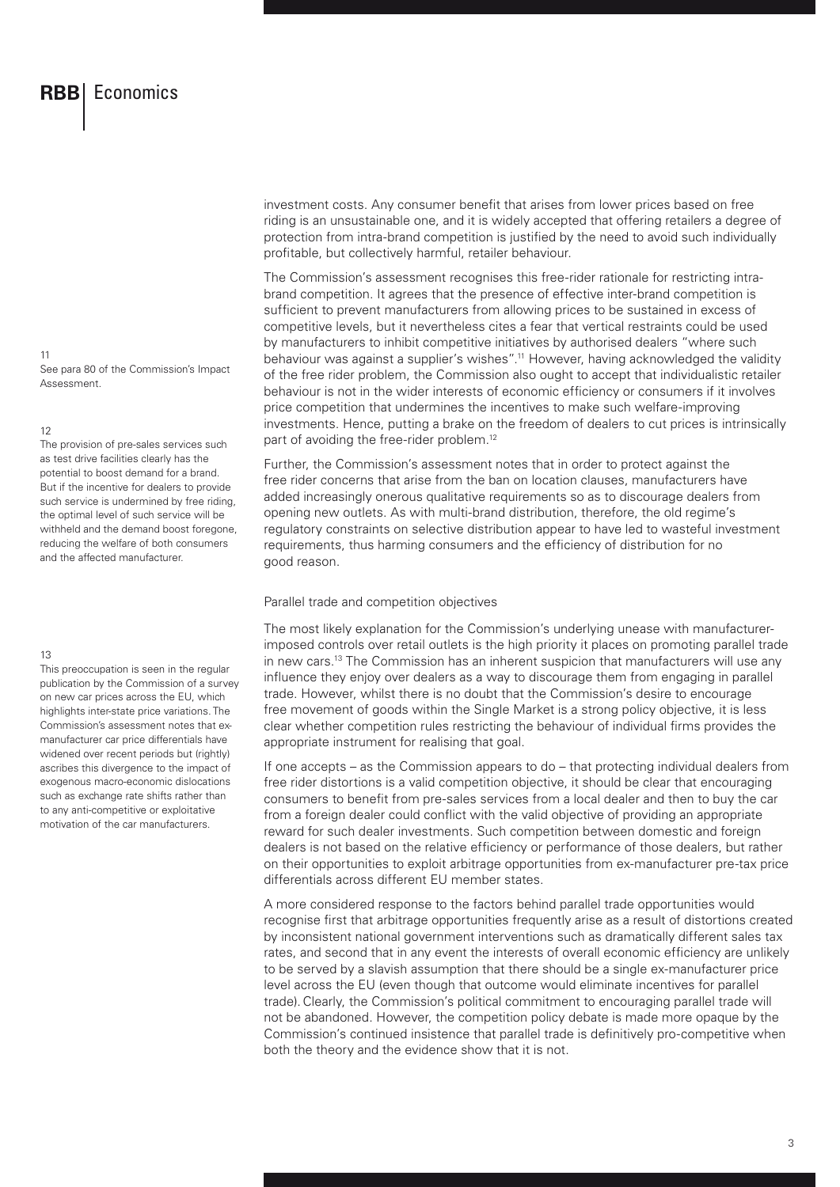See para 80 of the Commission's Impact Assessment.

#### 12

11

The provision of pre-sales services such as test drive facilities clearly has the potential to boost demand for a brand. But if the incentive for dealers to provide such service is undermined by free riding, the optimal level of such service will be withheld and the demand boost foregone, reducing the welfare of both consumers and the affected manufacturer.

#### 13

This preoccupation is seen in the regular publication by the Commission of a survey on new car prices across the EU, which highlights inter-state price variations. The Commission's assessment notes that exmanufacturer car price differentials have widened over recent periods but (rightly) ascribes this divergence to the impact of exogenous macro-economic dislocations such as exchange rate shifts rather than to any anti-competitive or exploitative motivation of the car manufacturers.

investment costs. Any consumer benefit that arises from lower prices based on free riding is an unsustainable one, and it is widely accepted that offering retailers a degree of protection from intra-brand competition is justified by the need to avoid such individually profitable, but collectively harmful, retailer behaviour.

The Commission's assessment recognises this free-rider rationale for restricting intrabrand competition. It agrees that the presence of effective inter-brand competition is sufficient to prevent manufacturers from allowing prices to be sustained in excess of competitive levels, but it nevertheless cites a fear that vertical restraints could be used by manufacturers to inhibit competitive initiatives by authorised dealers "where such behaviour was against a supplier's wishes".11 However, having acknowledged the validity of the free rider problem, the Commission also ought to accept that individualistic retailer behaviour is not in the wider interests of economic efficiency or consumers if it involves price competition that undermines the incentives to make such welfare-improving investments. Hence, putting a brake on the freedom of dealers to cut prices is intrinsically part of avoiding the free-rider problem.<sup>12</sup>

Further, the Commission's assessment notes that in order to protect against the free rider concerns that arise from the ban on location clauses, manufacturers have added increasingly onerous qualitative requirements so as to discourage dealers from opening new outlets. As with multi-brand distribution, therefore, the old regime's regulatory constraints on selective distribution appear to have led to wasteful investment requirements, thus harming consumers and the efficiency of distribution for no good reason.

#### Parallel trade and competition objectives

The most likely explanation for the Commission's underlying unease with manufacturerimposed controls over retail outlets is the high priority it places on promoting parallel trade in new cars.13 The Commission has an inherent suspicion that manufacturers will use any influence they enjoy over dealers as a way to discourage them from engaging in parallel trade. However, whilst there is no doubt that the Commission's desire to encourage free movement of goods within the Single Market is a strong policy objective, it is less clear whether competition rules restricting the behaviour of individual firms provides the appropriate instrument for realising that goal.

If one accepts – as the Commission appears to do – that protecting individual dealers from free rider distortions is a valid competition objective, it should be clear that encouraging consumers to benefit from pre-sales services from a local dealer and then to buy the car from a foreign dealer could conflict with the valid objective of providing an appropriate reward for such dealer investments. Such competition between domestic and foreign dealers is not based on the relative efficiency or performance of those dealers, but rather on their opportunities to exploit arbitrage opportunities from ex-manufacturer pre-tax price differentials across different EU member states.

A more considered response to the factors behind parallel trade opportunities would recognise first that arbitrage opportunities frequently arise as a result of distortions created by inconsistent national government interventions such as dramatically different sales tax rates, and second that in any event the interests of overall economic efficiency are unlikely to be served by a slavish assumption that there should be a single ex-manufacturer price level across the EU (even though that outcome would eliminate incentives for parallel trade).Clearly, the Commission's political commitment to encouraging parallel trade will not be abandoned. However, the competition policy debate is made more opaque by the Commission's continued insistence that parallel trade is definitively pro-competitive when both the theory and the evidence show that it is not.